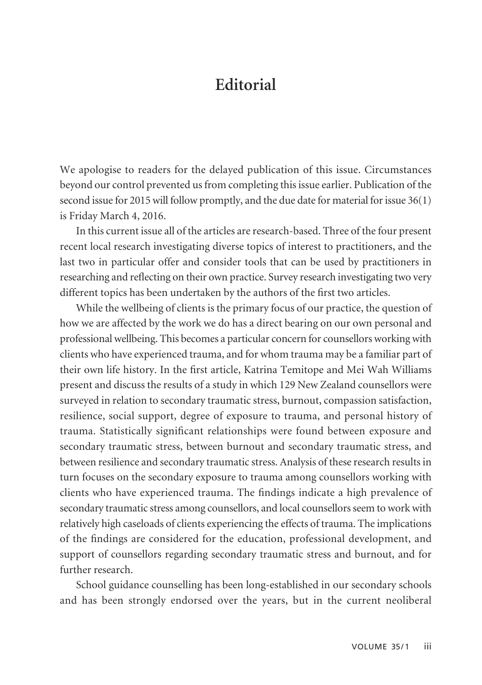## **Editorial**

We apologise to readers for the delayed publication of this issue. Circumstances beyond our control prevented us from completing this issue earlier. Publication of the second issue for 2015 will follow promptly, and the due date for material for issue 36(1) is Friday March 4, 2016.

In this current issue all of the articles are research-based. Three of the four present recent local research investigating diverse topics of interest to practitioners, and the last two in particular offer and consider tools that can be used by practitioners in researching and reflecting on their own practice. Survey research investigating two very different topics has been undertaken by the authors of the first two articles.

While the wellbeing of clients is the primary focus of our practice, the question of how we are affected by the work we do has a direct bearing on our own personal and professional wellbeing. This becomes a particular concern for counsellors working with clients who have experienced trauma, and for whom trauma may be a familiar part of their own life history. In the first article, Katrina Temitope and Mei Wah Williams present and discuss the results of a study in which 129 New Zealand counsellors were surveyed in relation to secondary traumatic stress, burnout, compassion satisfaction, resilience, social support, degree of exposure to trauma, and personal history of trauma. Statistically significant relationships were found between exposure and secondary traumatic stress, between burnout and secondary traumatic stress, and between resilience and secondary traumatic stress. Analysis of these research results in turn focuses on the secondary exposure to trauma among counsellors working with clients who have experienced trauma. The findings indicate a high prevalence of secondary traumatic stress among counsellors, and local counsellors seem to work with relatively high caseloads of clients experiencing the effects of trauma. The implications of the findings are considered for the education, professional development, and support of counsellors regarding secondary traumatic stress and burnout, and for further research.

School guidance counselling has been long-established in our secondary schools and has been strongly endorsed over the years, but in the current neoliberal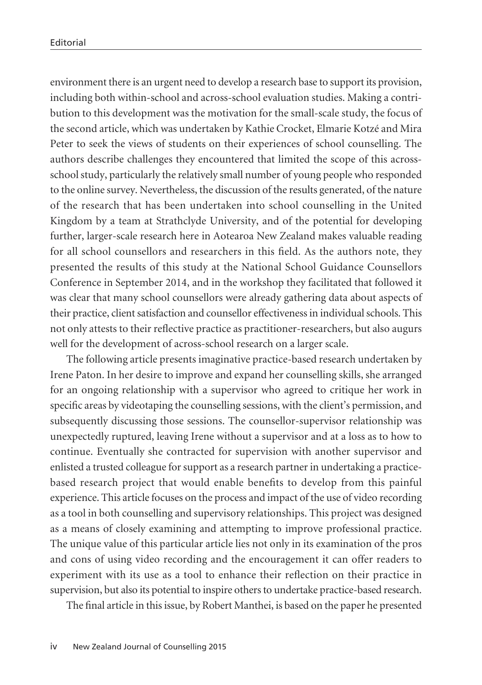environment there is an urgent need to develop a research base to support its provision, including both within-school and across-school evaluation studies. Making a contri bution to this development was the motivation for the small-scale study, the focus of the second article, which was undertaken by Kathie Crocket, Elmarie Kotzé and Mira Peter to seek the views of students on their experiences of school counselling. The authors describe challenges they encountered that limited the scope of this acrossschool study, particularly the relatively small number of young people who responded to the online survey. Nevertheless, the discussion of the results generated, of the nature of the research that has been undertaken into school counselling in the United Kingdom by a team at Strathclyde University, and of the potential for developing further, larger-scale research here in Aotearoa New Zealand makes valuable reading for all school counsellors and researchers in this field. As the authors note, they presented the results of this study at the National School Guidance Counsellors Conference in September 2014, and in the workshop they facilitated that followed it was clear that many school counsellors were already gathering data about aspects of their practice, client satisfaction and counsellor effectiveness in individual schools. This not only attests to their reflective practice as practitioner-researchers, but also augurs well for the development of across-school research on a larger scale.

The following article presents imaginative practice-based research undertaken by Irene Paton. In her desire to improve and expand her counselling skills, she arranged for an ongoing relationship with a supervisor who agreed to critique her work in specific areas by videotaping the counselling sessions, with the client's permission, and subsequently discussing those sessions. The counsellor-supervisor relationship was unexpectedly ruptured, leaving Irene without a supervisor and at a loss as to how to continue. Eventually she contracted for supervision with another supervisor and enlisted a trusted colleague for support as a research partner in undertaking a practicebased research project that would enable benefits to develop from this painful experience. This article focuses on the process and impact of the use of video recording as a tool in both counselling and supervisory relationships. This project was designed as a means of closely examining and attempting to improve professional practice. The unique value of this particular article lies not only in its examination of the pros and cons of using video recording and the encouragement it can offer readers to experiment with its use as a tool to enhance their reflection on their practice in supervision, but also its potential to inspire others to undertake practice-based research.

The final article in this issue, by Robert Manthei, is based on the paper he presented